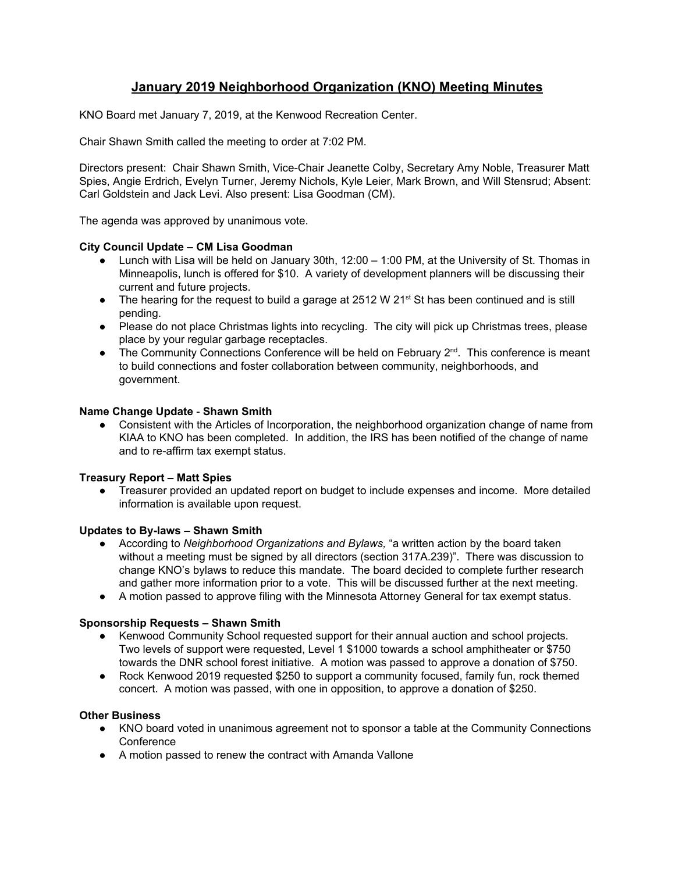# **January 2019 Neighborhood Organization (KNO) Meeting Minutes**

KNO Board met January 7, 2019, at the Kenwood Recreation Center.

Chair Shawn Smith called the meeting to order at 7:02 PM.

Directors present: Chair Shawn Smith, Vice-Chair Jeanette Colby, Secretary Amy Noble, Treasurer Matt Spies, Angie Erdrich, Evelyn Turner, Jeremy Nichols, Kyle Leier, Mark Brown, and Will Stensrud; Absent: Carl Goldstein and Jack Levi. Also present: Lisa Goodman (CM).

The agenda was approved by unanimous vote.

#### **City Council Update – CM Lisa Goodman**

- Lunch with Lisa will be held on January 30th, 12:00 1:00 PM, at the University of St. Thomas in Minneapolis, lunch is offered for \$10. A variety of development planners will be discussing their current and future projects.
- The hearing for the request to build a garage at 2512 W 21<sup>st</sup> St has been continued and is still pending.
- Please do not place Christmas lights into recycling. The city will pick up Christmas trees, please place by your regular garbage receptacles.
- The Community Connections Conference will be held on February  $2^{nd}$ . This conference is meant to build connections and foster collaboration between community, neighborhoods, and government.

#### **Name Change Update** - **Shawn Smith**

**●** Consistent with the Articles of Incorporation, the neighborhood organization change of name from KIAA to KNO has been completed. In addition, the IRS has been notified of the change of name and to re-affirm tax exempt status.

### **Treasury Report – Matt Spies**

● Treasurer provided an updated report on budget to include expenses and income. More detailed information is available upon request.

#### **Updates to By-laws – Shawn Smith**

- **●** According to *Neighborhood Organizations and Bylaws,* "a written action by the board taken without a meeting must be signed by all directors (section 317A.239)". There was discussion to change KNO's bylaws to reduce this mandate. The board decided to complete further research and gather more information prior to a vote. This will be discussed further at the next meeting.
- **●** A motion passed to approve filing with the Minnesota Attorney General for tax exempt status.

#### **Sponsorship Requests – Shawn Smith**

- Kenwood Community School requested support for their annual auction and school projects. Two levels of support were requested, Level 1 \$1000 towards a school amphitheater or \$750 towards the DNR school forest initiative. A motion was passed to approve a donation of \$750.
- Rock Kenwood 2019 requested \$250 to support a community focused, family fun, rock themed concert. A motion was passed, with one in opposition, to approve a donation of \$250.

#### **Other Business**

- **●** KNO board voted in unanimous agreement not to sponsor a table at the Community Connections **Conference**
- **●** A motion passed to renew the contract with Amanda Vallone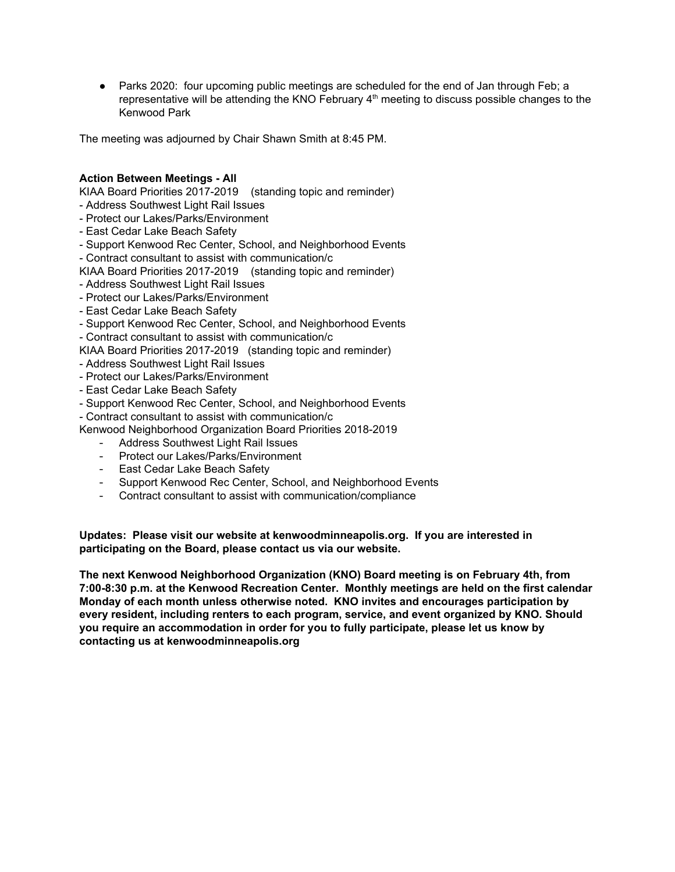**●** Parks 2020: four upcoming public meetings are scheduled for the end of Jan through Feb; a representative will be attending the KNO February  $4^{\text{th}}$  meeting to discuss possible changes to the Kenwood Park

The meeting was adjourned by Chair Shawn Smith at 8:45 PM.

## **Action Between Meetings - All**

KIAA Board Priorities 2017-2019 (standing topic and reminder)

- Address Southwest Light Rail Issues
- Protect our Lakes/Parks/Environment
- East Cedar Lake Beach Safety
- Support Kenwood Rec Center, School, and Neighborhood Events
- Contract consultant to assist with communication/c
- KIAA Board Priorities 2017-2019 (standing topic and reminder)
- Address Southwest Light Rail Issues
- Protect our Lakes/Parks/Environment
- East Cedar Lake Beach Safety
- Support Kenwood Rec Center, School, and Neighborhood Events
- Contract consultant to assist with communication/c

KIAA Board Priorities 2017-2019 (standing topic and reminder)

- Address Southwest Light Rail Issues
- Protect our Lakes/Parks/Environment
- East Cedar Lake Beach Safety
- Support Kenwood Rec Center, School, and Neighborhood Events

- Contract consultant to assist with communication/c

Kenwood Neighborhood Organization Board Priorities 2018-2019

- Address Southwest Light Rail Issues
- Protect our Lakes/Parks/Environment
- East Cedar Lake Beach Safety
- Support Kenwood Rec Center, School, and Neighborhood Events
- Contract consultant to assist with communication/compliance

**Updates: Please visit our website at kenwoodminneapolis.org. If you are interested in participating on the Board, please contact us via our website.**

**The next Kenwood Neighborhood Organization (KNO) Board meeting is on February 4th, from 7:00-8:30 p.m. at the Kenwood Recreation Center. Monthly meetings are held on the first calendar Monday of each month unless otherwise noted. KNO invites and encourages participation by every resident, including renters to each program, service, and event organized by KNO. Should you require an accommodation in order for you to fully participate, please let us know by contacting us at kenwoodminneapolis.org**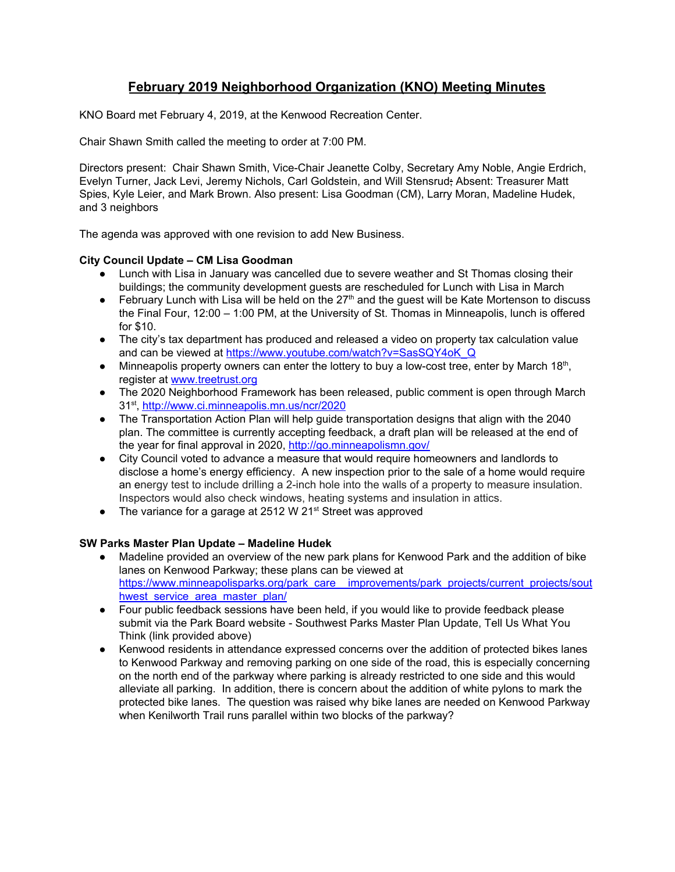# **February 2019 Neighborhood Organization (KNO) Meeting Minutes**

KNO Board met February 4, 2019, at the Kenwood Recreation Center.

Chair Shawn Smith called the meeting to order at 7:00 PM.

Directors present: Chair Shawn Smith, Vice-Chair Jeanette Colby, Secretary Amy Noble, Angie Erdrich, Evelyn Turner, Jack Levi, Jeremy Nichols, Carl Goldstein, and Will Stensrud; Absent: Treasurer Matt Spies, Kyle Leier, and Mark Brown. Also present: Lisa Goodman (CM), Larry Moran, Madeline Hudek, and 3 neighbors

The agenda was approved with one revision to add New Business.

## **City Council Update – CM Lisa Goodman**

- Lunch with Lisa in January was cancelled due to severe weather and St Thomas closing their buildings; the community development guests are rescheduled for Lunch with Lisa in March
- $\bullet$  February Lunch with Lisa will be held on the 27<sup>th</sup> and the guest will be Kate Mortenson to discuss the Final Four, 12:00 – 1:00 PM, at the University of St. Thomas in Minneapolis, lunch is offered for \$10.
- The city's tax department has produced and released a video on property tax calculation value and can be viewed at [https://www.youtube.com/watch?v=SasSQY4oK\\_Q](https://www.youtube.com/watch?v=SasSQY4oK_Q)
- Minneapolis property owners can enter the lottery to buy a low-cost tree, enter by March  $18<sup>th</sup>$ , register at [www.treetrust.org](http://www.treetrust.org/)
- The 2020 Neighborhood Framework has been released, public comment is open through March 31<sup>st</sup>, <http://www.ci.minneapolis.mn.us/ncr/2020>
- The Transportation Action Plan will help guide transportation designs that align with the 2040 plan. The committee is currently accepting feedback, a draft plan will be released at the end of the year for final approval in 2020, <http://go.minneapolismn.gov/>
- City Council voted to advance a measure that would require homeowners and landlords to disclose a home's energy efficiency. A new inspection prior to the sale of a home would require an energy test to include drilling a 2-inch hole into the walls of a property to measure insulation. Inspectors would also check windows, heating systems and insulation in attics.
- The variance for a garage at 2512 W 21<sup>st</sup> Street was approved

## **SW Parks Master Plan Update – Madeline Hudek**

- **●** Madeline provided an overview of the new park plans for Kenwood Park and the addition of bike lanes on Kenwood Parkway; these plans can be viewed at [https://www.minneapolisparks.org/park\\_care\\_\\_improvements/park\\_projects/current\\_projects/sout](https://www.minneapolisparks.org/park_care__improvements/park_projects/current_projects/southwest_service_area_master_plan/) hwest service area master plan/
- Four public feedback sessions have been held, if you would like to provide feedback please submit via the Park Board website - Southwest Parks Master Plan Update, Tell Us What You Think (link provided above)
- Kenwood residents in attendance expressed concerns over the addition of protected bikes lanes to Kenwood Parkway and removing parking on one side of the road, this is especially concerning on the north end of the parkway where parking is already restricted to one side and this would alleviate all parking. In addition, there is concern about the addition of white pylons to mark the protected bike lanes. The question was raised why bike lanes are needed on Kenwood Parkway when Kenilworth Trail runs parallel within two blocks of the parkway?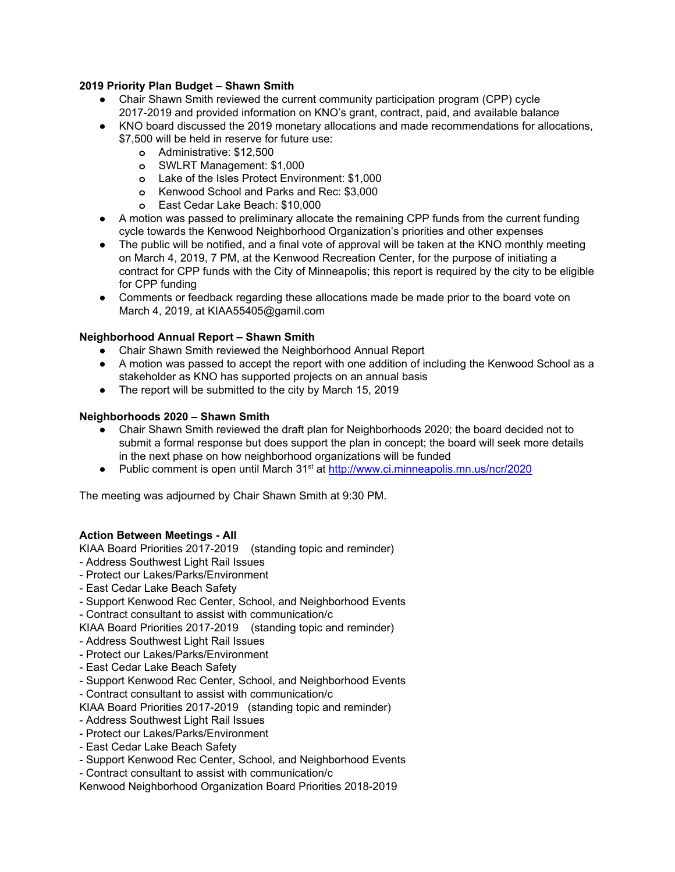### **2019 Priority Plan Budget – Shawn Smith**

- **●** Chair Shawn Smith reviewed the current community participation program (CPP) cycle 2017-2019 and provided information on KNO's grant, contract, paid, and available balance
- **●** KNO board discussed the 2019 monetary allocations and made recommendations for allocations,
	- \$7,500 will be held in reserve for future use:
		- **o** Administrative: \$12,500
		- **o** SWLRT Management: \$1,000
		- **o** Lake of the Isles Protect Environment: \$1,000
		- **o** Kenwood School and Parks and Rec: \$3,000
		- **o** East Cedar Lake Beach: \$10,000
- **●** A motion was passed to preliminary allocate the remaining CPP funds from the current funding cycle towards the Kenwood Neighborhood Organization's priorities and other expenses
- **●** The public will be notified, and a final vote of approval will be taken at the KNO monthly meeting on March 4, 2019, 7 PM, at the Kenwood Recreation Center, for the purpose of initiating a contract for CPP funds with the City of Minneapolis; this report is required by the city to be eligible for CPP funding
- **●** Comments or feedback regarding these allocations made be made prior to the board vote on March 4, 2019, at KIAA55405@gamil.com

## **Neighborhood Annual Report – Shawn Smith**

- **●** Chair Shawn Smith reviewed the Neighborhood Annual Report
- **●** A motion was passed to accept the report with one addition of including the Kenwood School as a stakeholder as KNO has supported projects on an annual basis
- **●** The report will be submitted to the city by March 15, 2019

## **Neighborhoods 2020 – Shawn Smith**

- **●** Chair Shawn Smith reviewed the draft plan for Neighborhoods 2020; the board decided not to submit a formal response but does support the plan in concept; the board will seek more details in the next phase on how neighborhood organizations will be funded
- Public comment is open until March 31<sup>st</sup> at <http://www.ci.minneapolis.mn.us/ncr/2020>

The meeting was adjourned by Chair Shawn Smith at 9:30 PM.

## **Action Between Meetings - All**

KIAA Board Priorities 2017-2019 (standing topic and reminder)

- Address Southwest Light Rail Issues
- Protect our Lakes/Parks/Environment
- East Cedar Lake Beach Safety
- Support Kenwood Rec Center, School, and Neighborhood Events

- Contract consultant to assist with communication/c

KIAA Board Priorities 2017-2019 (standing topic and reminder)

- Address Southwest Light Rail Issues
- Protect our Lakes/Parks/Environment
- East Cedar Lake Beach Safety
- Support Kenwood Rec Center, School, and Neighborhood Events
- Contract consultant to assist with communication/c
- KIAA Board Priorities 2017-2019 (standing topic and reminder)
- Address Southwest Light Rail Issues
- Protect our Lakes/Parks/Environment
- East Cedar Lake Beach Safety
- Support Kenwood Rec Center, School, and Neighborhood Events
- Contract consultant to assist with communication/c

Kenwood Neighborhood Organization Board Priorities 2018-2019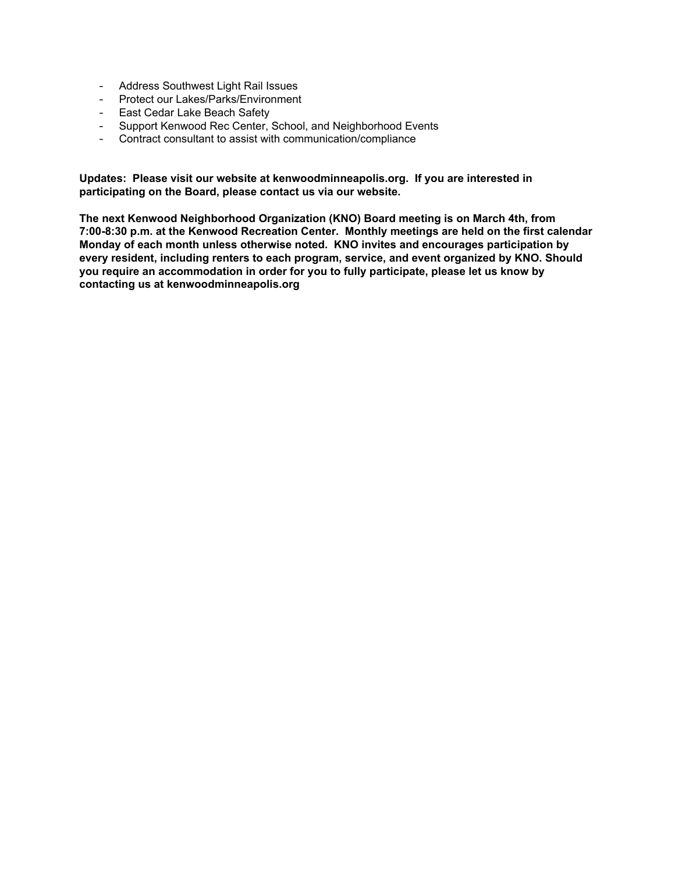- Address Southwest Light Rail Issues
- Protect our Lakes/Parks/Environment
- East Cedar Lake Beach Safety
- Support Kenwood Rec Center, School, and Neighborhood Events
- Contract consultant to assist with communication/compliance

**Updates: Please visit our website at kenwoodminneapolis.org. If you are interested in participating on the Board, please contact us via our website.**

**The next Kenwood Neighborhood Organization (KNO) Board meeting is on March 4th, from 7:00-8:30 p.m. at the Kenwood Recreation Center. Monthly meetings are held on the first calendar Monday of each month unless otherwise noted. KNO invites and encourages participation by every resident, including renters to each program, service, and event organized by KNO. Should you require an accommodation in order for you to fully participate, please let us know by contacting us at kenwoodminneapolis.org**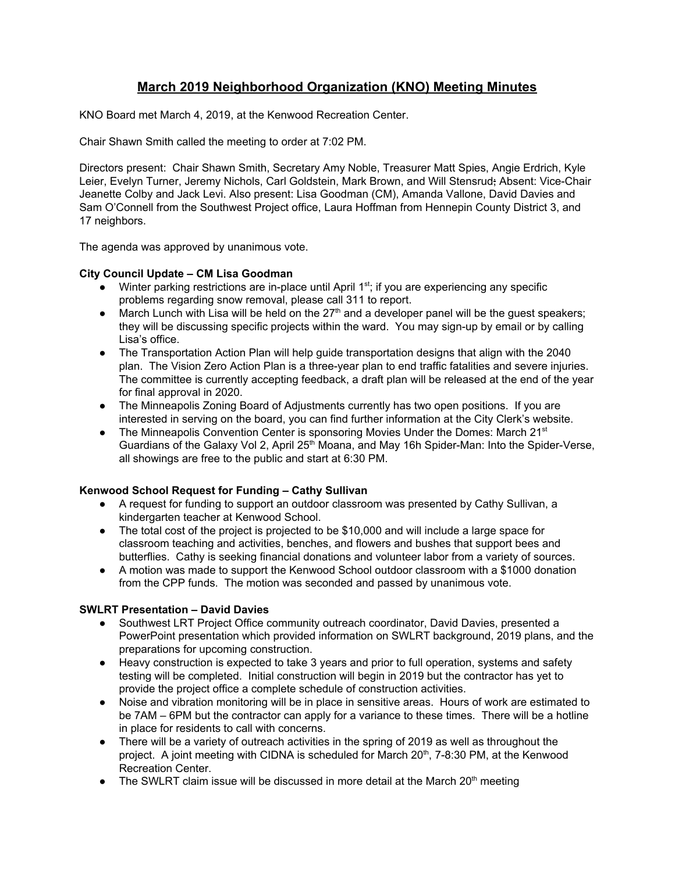# **March 2019 Neighborhood Organization (KNO) Meeting Minutes**

KNO Board met March 4, 2019, at the Kenwood Recreation Center.

Chair Shawn Smith called the meeting to order at 7:02 PM.

Directors present: Chair Shawn Smith, Secretary Amy Noble, Treasurer Matt Spies, Angie Erdrich, Kyle Leier, Evelyn Turner, Jeremy Nichols, Carl Goldstein, Mark Brown, and Will Stensrud; Absent: Vice-Chair Jeanette Colby and Jack Levi. Also present: Lisa Goodman (CM), Amanda Vallone, David Davies and Sam O'Connell from the Southwest Project office, Laura Hoffman from Hennepin County District 3, and 17 neighbors.

The agenda was approved by unanimous vote.

## **City Council Update – CM Lisa Goodman**

- Winter parking restrictions are in-place until April 1<sup>st</sup>; if you are experiencing any specific problems regarding snow removal, please call 311 to report.
- $\bullet$  March Lunch with Lisa will be held on the 27<sup>th</sup> and a developer panel will be the guest speakers; they will be discussing specific projects within the ward. You may sign-up by email or by calling Lisa's office.
- The Transportation Action Plan will help guide transportation designs that align with the 2040 plan. The Vision Zero Action Plan is a three-year plan to end traffic fatalities and severe injuries. The committee is currently accepting feedback, a draft plan will be released at the end of the year for final approval in 2020.
- The Minneapolis Zoning Board of Adjustments currently has two open positions. If you are interested in serving on the board, you can find further information at the City Clerk's website.
- The Minneapolis Convention Center is sponsoring Movies Under the Domes: March 21<sup>st</sup> Guardians of the Galaxy Vol 2, April 25<sup>th</sup> Moana, and May 16h Spider-Man: Into the Spider-Verse, all showings are free to the public and start at 6:30 PM.

## **Kenwood School Request for Funding – Cathy Sullivan**

- **●** A request for funding to support an outdoor classroom was presented by Cathy Sullivan, a kindergarten teacher at Kenwood School.
- **●** The total cost of the project is projected to be \$10,000 and will include a large space for classroom teaching and activities, benches, and flowers and bushes that support bees and butterflies. Cathy is seeking financial donations and volunteer labor from a variety of sources.
- **●** A motion was made to support the Kenwood School outdoor classroom with a \$1000 donation from the CPP funds. The motion was seconded and passed by unanimous vote.

## **SWLRT Presentation – David Davies**

- **●** Southwest LRT Project Office community outreach coordinator, David Davies, presented a PowerPoint presentation which provided information on SWLRT background, 2019 plans, and the preparations for upcoming construction.
- **●** Heavy construction is expected to take 3 years and prior to full operation, systems and safety testing will be completed. Initial construction will begin in 2019 but the contractor has yet to provide the project office a complete schedule of construction activities.
- **●** Noise and vibration monitoring will be in place in sensitive areas. Hours of work are estimated to be 7AM – 6PM but the contractor can apply for a variance to these times. There will be a hotline in place for residents to call with concerns.
- **●** There will be a variety of outreach activities in the spring of 2019 as well as throughout the project. A joint meeting with CIDNA is scheduled for March 20<sup>th</sup>, 7-8:30 PM, at the Kenwood Recreation Center.
- The SWLRT claim issue will be discussed in more detail at the March 20<sup>th</sup> meeting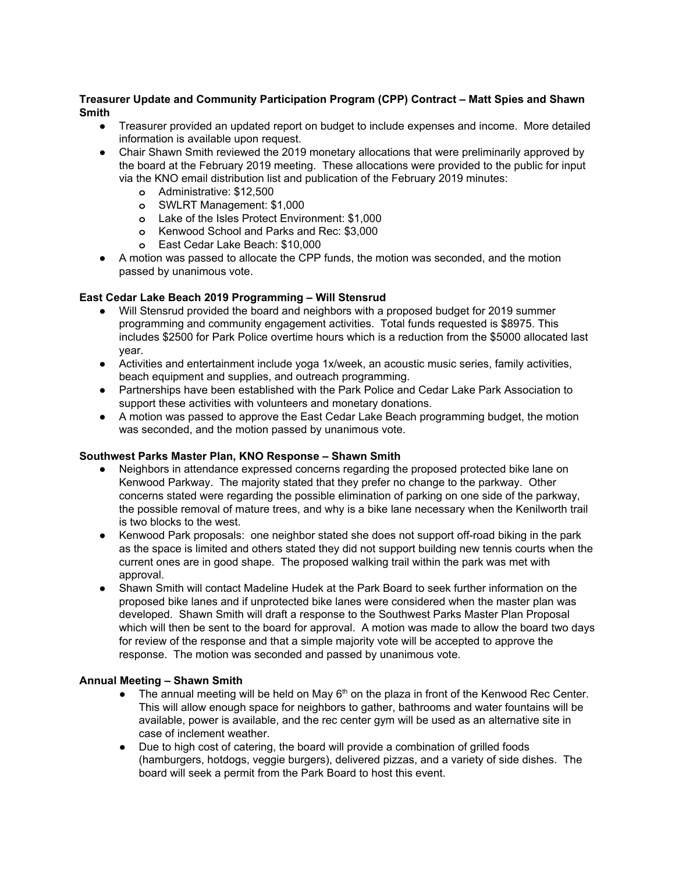### **Treasurer Update and Community Participation Program (CPP) Contract – Matt Spies and Shawn Smith**

- Treasurer provided an updated report on budget to include expenses and income. More detailed information is available upon request.
- **●** Chair Shawn Smith reviewed the 2019 monetary allocations that were preliminarily approved by the board at the February 2019 meeting. These allocations were provided to the public for input via the KNO email distribution list and publication of the February 2019 minutes:
	- **o** Administrative: \$12,500
	- **o** SWLRT Management: \$1,000
	- **o** Lake of the Isles Protect Environment: \$1,000
	- **o** Kenwood School and Parks and Rec: \$3,000
	- **o** East Cedar Lake Beach: \$10,000
- **●** A motion was passed to allocate the CPP funds, the motion was seconded, and the motion passed by unanimous vote.

#### **East Cedar Lake Beach 2019 Programming – Will Stensrud**

- Will Stensrud provided the board and neighbors with a proposed budget for 2019 summer programming and community engagement activities. Total funds requested is \$8975. This includes \$2500 for Park Police overtime hours which is a reduction from the \$5000 allocated last year.
- **●** Activities and entertainment include yoga 1x/week, an acoustic music series, family activities, beach equipment and supplies, and outreach programming.
- **●** Partnerships have been established with the Park Police and Cedar Lake Park Association to support these activities with volunteers and monetary donations.
- **●** A motion was passed to approve the East Cedar Lake Beach programming budget, the motion was seconded, and the motion passed by unanimous vote.

#### **Southwest Parks Master Plan, KNO Response – Shawn Smith**

- **●** Neighbors in attendance expressed concerns regarding the proposed protected bike lane on Kenwood Parkway. The majority stated that they prefer no change to the parkway. Other concerns stated were regarding the possible elimination of parking on one side of the parkway, the possible removal of mature trees, and why is a bike lane necessary when the Kenilworth trail is two blocks to the west.
- **●** Kenwood Park proposals: one neighbor stated she does not support off-road biking in the park as the space is limited and others stated they did not support building new tennis courts when the current ones are in good shape. The proposed walking trail within the park was met with approval.
- **●** Shawn Smith will contact Madeline Hudek at the Park Board to seek further information on the proposed bike lanes and if unprotected bike lanes were considered when the master plan was developed. Shawn Smith will draft a response to the Southwest Parks Master Plan Proposal which will then be sent to the board for approval. A motion was made to allow the board two days for review of the response and that a simple majority vote will be accepted to approve the response. The motion was seconded and passed by unanimous vote.

#### **Annual Meeting – Shawn Smith**

- $\bullet$  The annual meeting will be held on May  $6<sup>th</sup>$  on the plaza in front of the Kenwood Rec Center. This will allow enough space for neighbors to gather, bathrooms and water fountains will be available, power is available, and the rec center gym will be used as an alternative site in case of inclement weather.
- Due to high cost of catering, the board will provide a combination of grilled foods (hamburgers, hotdogs, veggie burgers), delivered pizzas, and a variety of side dishes. The board will seek a permit from the Park Board to host this event.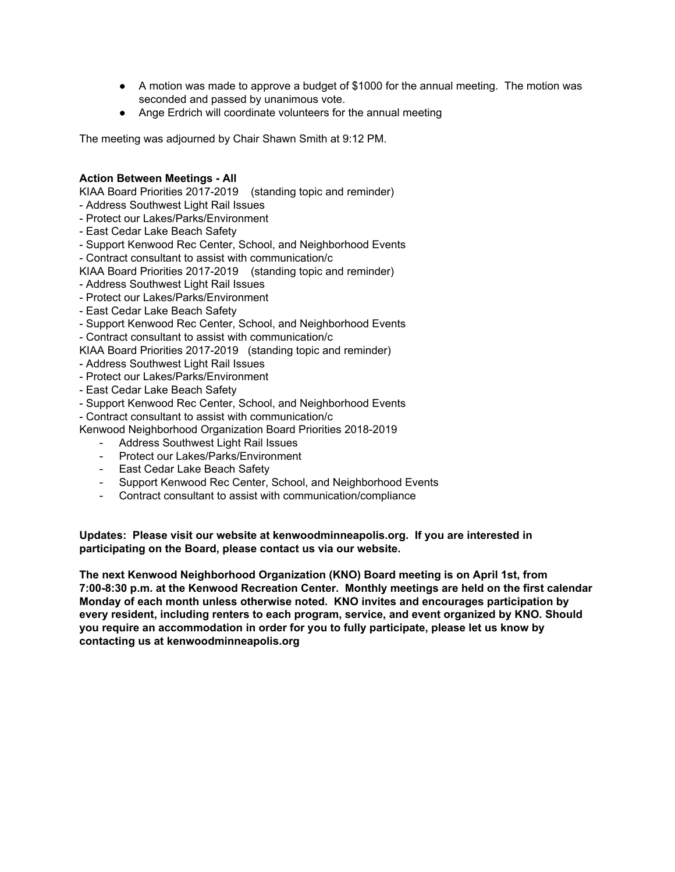- A motion was made to approve a budget of \$1000 for the annual meeting. The motion was seconded and passed by unanimous vote.
- Ange Erdrich will coordinate volunteers for the annual meeting

The meeting was adjourned by Chair Shawn Smith at 9:12 PM.

### **Action Between Meetings - All**

KIAA Board Priorities 2017-2019 (standing topic and reminder)

- Address Southwest Light Rail Issues
- Protect our Lakes/Parks/Environment
- East Cedar Lake Beach Safety
- Support Kenwood Rec Center, School, and Neighborhood Events
- Contract consultant to assist with communication/c
- KIAA Board Priorities 2017-2019 (standing topic and reminder)
- Address Southwest Light Rail Issues
- Protect our Lakes/Parks/Environment
- East Cedar Lake Beach Safety
- Support Kenwood Rec Center, School, and Neighborhood Events
- Contract consultant to assist with communication/c

KIAA Board Priorities 2017-2019 (standing topic and reminder)

- Address Southwest Light Rail Issues
- Protect our Lakes/Parks/Environment
- East Cedar Lake Beach Safety
- Support Kenwood Rec Center, School, and Neighborhood Events

- Contract consultant to assist with communication/c

Kenwood Neighborhood Organization Board Priorities 2018-2019

- Address Southwest Light Rail Issues
- Protect our Lakes/Parks/Environment
- East Cedar Lake Beach Safety
- Support Kenwood Rec Center, School, and Neighborhood Events
- Contract consultant to assist with communication/compliance

**Updates: Please visit our website at kenwoodminneapolis.org. If you are interested in participating on the Board, please contact us via our website.**

**The next Kenwood Neighborhood Organization (KNO) Board meeting is on April 1st, from 7:00-8:30 p.m. at the Kenwood Recreation Center. Monthly meetings are held on the first calendar Monday of each month unless otherwise noted. KNO invites and encourages participation by every resident, including renters to each program, service, and event organized by KNO. Should you require an accommodation in order for you to fully participate, please let us know by contacting us at kenwoodminneapolis.org**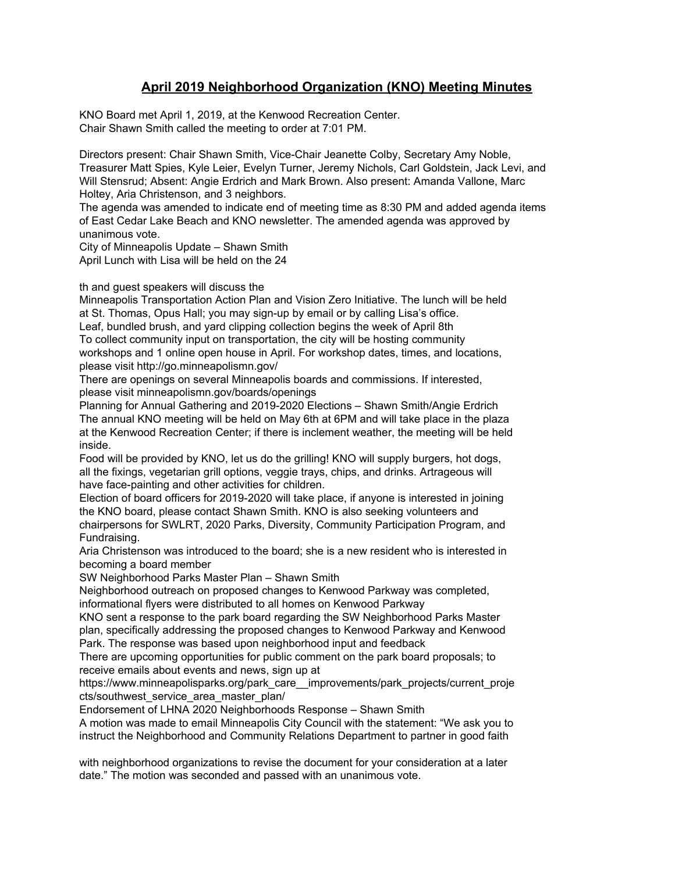# **April 2019 Neighborhood Organization (KNO) Meeting Minutes**

KNO Board met April 1, 2019, at the Kenwood Recreation Center. Chair Shawn Smith called the meeting to order at 7:01 PM.

Directors present: Chair Shawn Smith, Vice-Chair Jeanette Colby, Secretary Amy Noble, Treasurer Matt Spies, Kyle Leier, Evelyn Turner, Jeremy Nichols, Carl Goldstein, Jack Levi, and Will Stensrud; Absent: Angie Erdrich and Mark Brown. Also present: Amanda Vallone, Marc Holtey, Aria Christenson, and 3 neighbors.

The agenda was amended to indicate end of meeting time as 8:30 PM and added agenda items of East Cedar Lake Beach and KNO newsletter. The amended agenda was approved by unanimous vote.

City of Minneapolis Update – Shawn Smith

April Lunch with Lisa will be held on the 24

th and guest speakers will discuss the

Minneapolis Transportation Action Plan and Vision Zero Initiative. The lunch will be held at St. Thomas, Opus Hall; you may sign-up by email or by calling Lisa's office. Leaf, bundled brush, and yard clipping collection begins the week of April 8th

To collect community input on transportation, the city will be hosting community workshops and 1 online open house in April. For workshop dates, times, and locations, please visit http://go.minneapolismn.gov/

There are openings on several Minneapolis boards and commissions. If interested, please visit minneapolismn.gov/boards/openings

Planning for Annual Gathering and 2019-2020 Elections – Shawn Smith/Angie Erdrich The annual KNO meeting will be held on May 6th at 6PM and will take place in the plaza at the Kenwood Recreation Center; if there is inclement weather, the meeting will be held inside.

Food will be provided by KNO, let us do the grilling! KNO will supply burgers, hot dogs, all the fixings, vegetarian grill options, veggie trays, chips, and drinks. Artrageous will have face-painting and other activities for children.

Election of board officers for 2019-2020 will take place, if anyone is interested in joining the KNO board, please contact Shawn Smith. KNO is also seeking volunteers and chairpersons for SWLRT, 2020 Parks, Diversity, Community Participation Program, and Fundraising.

Aria Christenson was introduced to the board; she is a new resident who is interested in becoming a board member

SW Neighborhood Parks Master Plan – Shawn Smith

Neighborhood outreach on proposed changes to Kenwood Parkway was completed, informational flyers were distributed to all homes on Kenwood Parkway

KNO sent a response to the park board regarding the SW Neighborhood Parks Master plan, specifically addressing the proposed changes to Kenwood Parkway and Kenwood Park. The response was based upon neighborhood input and feedback

There are upcoming opportunities for public comment on the park board proposals; to receive emails about events and news, sign up at

https://www.minneapolisparks.org/park\_care\_\_improvements/park\_projects/current\_proje cts/southwest\_service\_area\_master\_plan/

Endorsement of LHNA 2020 Neighborhoods Response – Shawn Smith

A motion was made to email Minneapolis City Council with the statement: "We ask you to instruct the Neighborhood and Community Relations Department to partner in good faith

with neighborhood organizations to revise the document for your consideration at a later date." The motion was seconded and passed with an unanimous vote.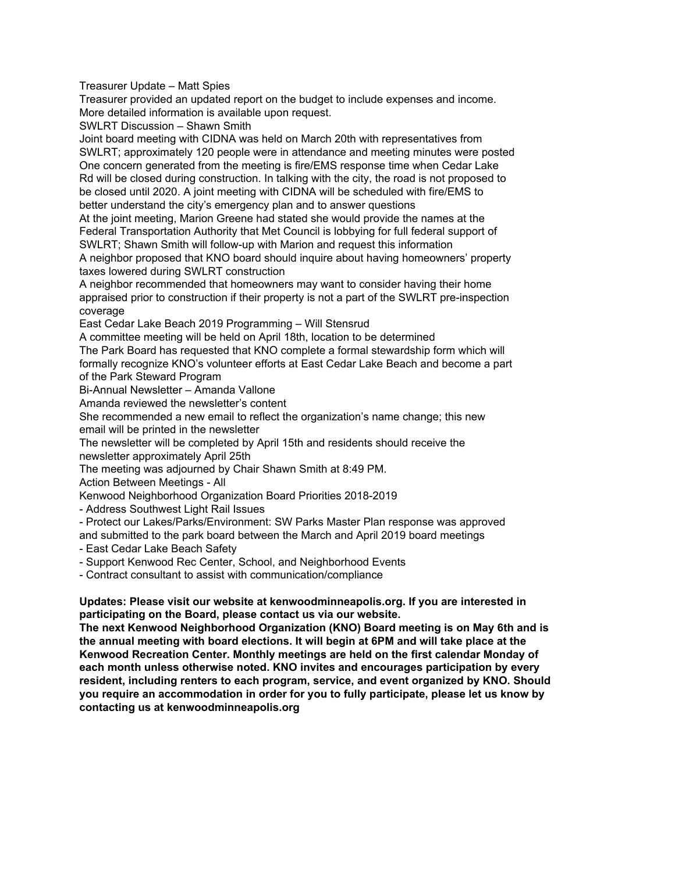Treasurer Update – Matt Spies

Treasurer provided an updated report on the budget to include expenses and income. More detailed information is available upon request.

SWLRT Discussion – Shawn Smith

Joint board meeting with CIDNA was held on March 20th with representatives from SWLRT; approximately 120 people were in attendance and meeting minutes were posted One concern generated from the meeting is fire/EMS response time when Cedar Lake Rd will be closed during construction. In talking with the city, the road is not proposed to be closed until 2020. A joint meeting with CIDNA will be scheduled with fire/EMS to better understand the city's emergency plan and to answer questions

At the joint meeting, Marion Greene had stated she would provide the names at the Federal Transportation Authority that Met Council is lobbying for full federal support of SWLRT; Shawn Smith will follow-up with Marion and request this information A neighbor proposed that KNO board should inquire about having homeowners' property taxes lowered during SWLRT construction

A neighbor recommended that homeowners may want to consider having their home appraised prior to construction if their property is not a part of the SWLRT pre-inspection coverage

East Cedar Lake Beach 2019 Programming – Will Stensrud

A committee meeting will be held on April 18th, location to be determined

The Park Board has requested that KNO complete a formal stewardship form which will formally recognize KNO's volunteer efforts at East Cedar Lake Beach and become a part of the Park Steward Program

Bi-Annual Newsletter – Amanda Vallone

Amanda reviewed the newsletter's content

She recommended a new email to reflect the organization's name change; this new email will be printed in the newsletter

The newsletter will be completed by April 15th and residents should receive the newsletter approximately April 25th

The meeting was adjourned by Chair Shawn Smith at 8:49 PM.

Action Between Meetings - All

Kenwood Neighborhood Organization Board Priorities 2018-2019

- Address Southwest Light Rail Issues

- Protect our Lakes/Parks/Environment: SW Parks Master Plan response was approved and submitted to the park board between the March and April 2019 board meetings

- East Cedar Lake Beach Safety

- Support Kenwood Rec Center, School, and Neighborhood Events

- Contract consultant to assist with communication/compliance

**Updates: Please visit our website at kenwoodminneapolis.org. If you are interested in participating on the Board, please contact us via our website.**

**The next Kenwood Neighborhood Organization (KNO) Board meeting is on May 6th and is the annual meeting with board elections. It will begin at 6PM and will take place at the Kenwood Recreation Center. Monthly meetings are held on the first calendar Monday of each month unless otherwise noted. KNO invites and encourages participation by every resident, including renters to each program, service, and event organized by KNO. Should you require an accommodation in order for you to fully participate, please let us know by contacting us at kenwoodminneapolis.org**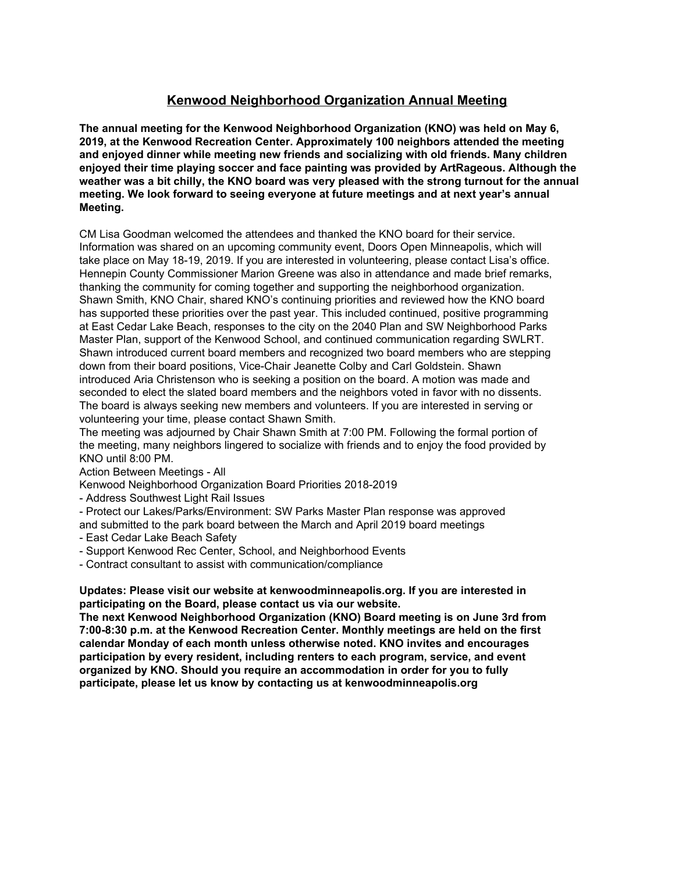# **Kenwood Neighborhood Organization Annual Meeting**

**The annual meeting for the Kenwood Neighborhood Organization (KNO) was held on May 6, 2019, at the Kenwood Recreation Center. Approximately 100 neighbors attended the meeting and enjoyed dinner while meeting new friends and socializing with old friends. Many children enjoyed their time playing soccer and face painting was provided by ArtRageous. Although the weather was a bit chilly, the KNO board was very pleased with the strong turnout for the annual meeting. We look forward to seeing everyone at future meetings and at next year's annual Meeting.**

CM Lisa Goodman welcomed the attendees and thanked the KNO board for their service. Information was shared on an upcoming community event, Doors Open Minneapolis, which will take place on May 18-19, 2019. If you are interested in volunteering, please contact Lisa's office. Hennepin County Commissioner Marion Greene was also in attendance and made brief remarks, thanking the community for coming together and supporting the neighborhood organization. Shawn Smith, KNO Chair, shared KNO's continuing priorities and reviewed how the KNO board has supported these priorities over the past year. This included continued, positive programming at East Cedar Lake Beach, responses to the city on the 2040 Plan and SW Neighborhood Parks Master Plan, support of the Kenwood School, and continued communication regarding SWLRT. Shawn introduced current board members and recognized two board members who are stepping down from their board positions, Vice-Chair Jeanette Colby and Carl Goldstein. Shawn introduced Aria Christenson who is seeking a position on the board. A motion was made and seconded to elect the slated board members and the neighbors voted in favor with no dissents. The board is always seeking new members and volunteers. If you are interested in serving or volunteering your time, please contact Shawn Smith.

The meeting was adjourned by Chair Shawn Smith at 7:00 PM. Following the formal portion of the meeting, many neighbors lingered to socialize with friends and to enjoy the food provided by KNO until 8:00 PM.

Action Between Meetings - All

Kenwood Neighborhood Organization Board Priorities 2018-2019

- Address Southwest Light Rail Issues

- Protect our Lakes/Parks/Environment: SW Parks Master Plan response was approved and submitted to the park board between the March and April 2019 board meetings

- East Cedar Lake Beach Safety

- Support Kenwood Rec Center, School, and Neighborhood Events
- Contract consultant to assist with communication/compliance

**Updates: Please visit our website at kenwoodminneapolis.org. If you are interested in participating on the Board, please contact us via our website.**

**The next Kenwood Neighborhood Organization (KNO) Board meeting is on June 3rd from 7:00-8:30 p.m. at the Kenwood Recreation Center. Monthly meetings are held on the first calendar Monday of each month unless otherwise noted. KNO invites and encourages participation by every resident, including renters to each program, service, and event organized by KNO. Should you require an accommodation in order for you to fully participate, please let us know by contacting us at kenwoodminneapolis.org**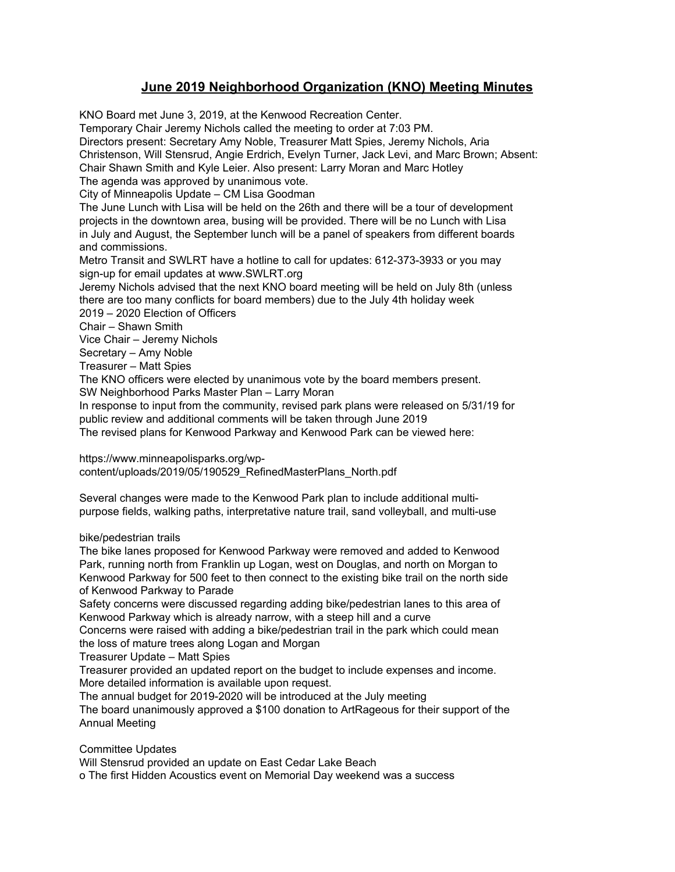# **June 2019 Neighborhood Organization (KNO) Meeting Minutes**

KNO Board met June 3, 2019, at the Kenwood Recreation Center. Temporary Chair Jeremy Nichols called the meeting to order at 7:03 PM. Directors present: Secretary Amy Noble, Treasurer Matt Spies, Jeremy Nichols, Aria Christenson, Will Stensrud, Angie Erdrich, Evelyn Turner, Jack Levi, and Marc Brown; Absent: Chair Shawn Smith and Kyle Leier. Also present: Larry Moran and Marc Hotley The agenda was approved by unanimous vote. City of Minneapolis Update – CM Lisa Goodman The June Lunch with Lisa will be held on the 26th and there will be a tour of development projects in the downtown area, busing will be provided. There will be no Lunch with Lisa in July and August, the September lunch will be a panel of speakers from different boards and commissions. Metro Transit and SWLRT have a hotline to call for updates: 612-373-3933 or you may sign-up for email updates at www.SWLRT.org Jeremy Nichols advised that the next KNO board meeting will be held on July 8th (unless there are too many conflicts for board members) due to the July 4th holiday week 2019 – 2020 Election of Officers Chair – Shawn Smith Vice Chair – Jeremy Nichols Secretary – Amy Noble Treasurer – Matt Spies The KNO officers were elected by unanimous vote by the board members present. SW Neighborhood Parks Master Plan – Larry Moran In response to input from the community, revised park plans were released on 5/31/19 for public review and additional comments will be taken through June 2019 The revised plans for Kenwood Parkway and Kenwood Park can be viewed here:

https://www.minneapolisparks.org/wp-

content/uploads/2019/05/190529\_RefinedMasterPlans\_North.pdf

Several changes were made to the Kenwood Park plan to include additional multipurpose fields, walking paths, interpretative nature trail, sand volleyball, and multi-use

bike/pedestrian trails

The bike lanes proposed for Kenwood Parkway were removed and added to Kenwood Park, running north from Franklin up Logan, west on Douglas, and north on Morgan to Kenwood Parkway for 500 feet to then connect to the existing bike trail on the north side of Kenwood Parkway to Parade

Safety concerns were discussed regarding adding bike/pedestrian lanes to this area of Kenwood Parkway which is already narrow, with a steep hill and a curve

Concerns were raised with adding a bike/pedestrian trail in the park which could mean the loss of mature trees along Logan and Morgan

Treasurer Update – Matt Spies

Treasurer provided an updated report on the budget to include expenses and income. More detailed information is available upon request.

The annual budget for 2019-2020 will be introduced at the July meeting

The board unanimously approved a \$100 donation to ArtRageous for their support of the Annual Meeting

Committee Updates

Will Stensrud provided an update on East Cedar Lake Beach

o The first Hidden Acoustics event on Memorial Day weekend was a success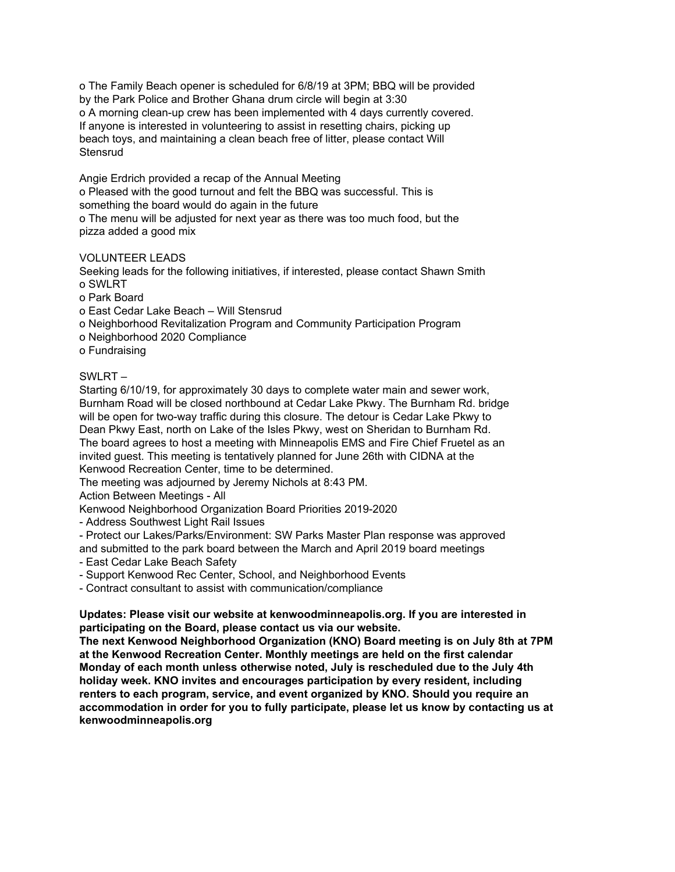o The Family Beach opener is scheduled for 6/8/19 at 3PM; BBQ will be provided by the Park Police and Brother Ghana drum circle will begin at 3:30 o A morning clean-up crew has been implemented with 4 days currently covered. If anyone is interested in volunteering to assist in resetting chairs, picking up beach toys, and maintaining a clean beach free of litter, please contact Will Stensrud

Angie Erdrich provided a recap of the Annual Meeting o Pleased with the good turnout and felt the BBQ was successful. This is something the board would do again in the future o The menu will be adjusted for next year as there was too much food, but the pizza added a good mix

## VOLUNTEER LEADS

Seeking leads for the following initiatives, if interested, please contact Shawn Smith o SWLRT

o Park Board

o East Cedar Lake Beach – Will Stensrud

o Neighborhood Revitalization Program and Community Participation Program

o Neighborhood 2020 Compliance

o Fundraising

#### SWLRT –

Starting 6/10/19, for approximately 30 days to complete water main and sewer work, Burnham Road will be closed northbound at Cedar Lake Pkwy. The Burnham Rd. bridge will be open for two-way traffic during this closure. The detour is Cedar Lake Pkwy to Dean Pkwy East, north on Lake of the Isles Pkwy, west on Sheridan to Burnham Rd. The board agrees to host a meeting with Minneapolis EMS and Fire Chief Fruetel as an invited guest. This meeting is tentatively planned for June 26th with CIDNA at the Kenwood Recreation Center, time to be determined.

The meeting was adjourned by Jeremy Nichols at 8:43 PM.

Action Between Meetings - All

Kenwood Neighborhood Organization Board Priorities 2019-2020

- Address Southwest Light Rail Issues

- Protect our Lakes/Parks/Environment: SW Parks Master Plan response was approved and submitted to the park board between the March and April 2019 board meetings

- East Cedar Lake Beach Safety

- Support Kenwood Rec Center, School, and Neighborhood Events

- Contract consultant to assist with communication/compliance

**Updates: Please visit our website at kenwoodminneapolis.org. If you are interested in participating on the Board, please contact us via our website.**

**The next Kenwood Neighborhood Organization (KNO) Board meeting is on July 8th at 7PM at the Kenwood Recreation Center. Monthly meetings are held on the first calendar Monday of each month unless otherwise noted, July is rescheduled due to the July 4th holiday week. KNO invites and encourages participation by every resident, including renters to each program, service, and event organized by KNO. Should you require an accommodation in order for you to fully participate, please let us know by contacting us at kenwoodminneapolis.org**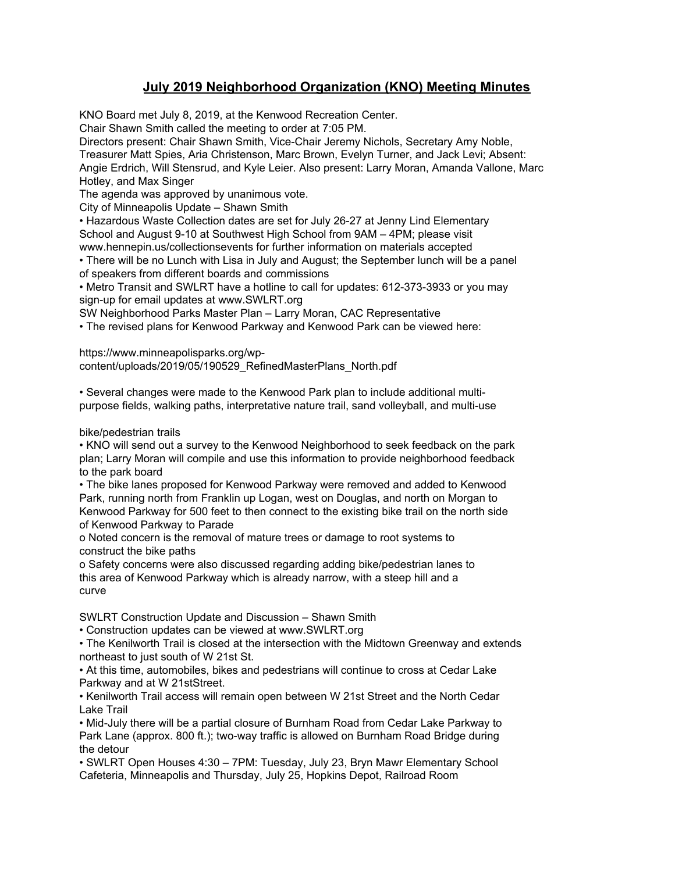# **July 2019 Neighborhood Organization (KNO) Meeting Minutes**

KNO Board met July 8, 2019, at the Kenwood Recreation Center. Chair Shawn Smith called the meeting to order at 7:05 PM. Directors present: Chair Shawn Smith, Vice-Chair Jeremy Nichols, Secretary Amy Noble, Treasurer Matt Spies, Aria Christenson, Marc Brown, Evelyn Turner, and Jack Levi; Absent: Angie Erdrich, Will Stensrud, and Kyle Leier. Also present: Larry Moran, Amanda Vallone, Marc Hotley, and Max Singer The agenda was approved by unanimous vote. City of Minneapolis Update – Shawn Smith • Hazardous Waste Collection dates are set for July 26-27 at Jenny Lind Elementary School and August 9-10 at Southwest High School from 9AM – 4PM; please visit www.hennepin.us/collectionsevents for further information on materials accepted • There will be no Lunch with Lisa in July and August; the September lunch will be a panel of speakers from different boards and commissions • Metro Transit and SWLRT have a hotline to call for updates: 612-373-3933 or you may sign-up for email updates at www.SWLRT.org SW Neighborhood Parks Master Plan – Larry Moran, CAC Representative

• The revised plans for Kenwood Parkway and Kenwood Park can be viewed here:

https://www.minneapolisparks.org/wp-

content/uploads/2019/05/190529\_RefinedMasterPlans\_North.pdf

• Several changes were made to the Kenwood Park plan to include additional multipurpose fields, walking paths, interpretative nature trail, sand volleyball, and multi-use

bike/pedestrian trails

• KNO will send out a survey to the Kenwood Neighborhood to seek feedback on the park plan; Larry Moran will compile and use this information to provide neighborhood feedback to the park board

• The bike lanes proposed for Kenwood Parkway were removed and added to Kenwood Park, running north from Franklin up Logan, west on Douglas, and north on Morgan to Kenwood Parkway for 500 feet to then connect to the existing bike trail on the north side of Kenwood Parkway to Parade

o Noted concern is the removal of mature trees or damage to root systems to construct the bike paths

o Safety concerns were also discussed regarding adding bike/pedestrian lanes to this area of Kenwood Parkway which is already narrow, with a steep hill and a curve

SWLRT Construction Update and Discussion – Shawn Smith

• Construction updates can be viewed at www.SWLRT.org

• The Kenilworth Trail is closed at the intersection with the Midtown Greenway and extends northeast to just south of W 21st St.

• At this time, automobiles, bikes and pedestrians will continue to cross at Cedar Lake Parkway and at W 21stStreet.

• Kenilworth Trail access will remain open between W 21st Street and the North Cedar Lake Trail

• Mid-July there will be a partial closure of Burnham Road from Cedar Lake Parkway to Park Lane (approx. 800 ft.); two-way traffic is allowed on Burnham Road Bridge during the detour

• SWLRT Open Houses 4:30 – 7PM: Tuesday, July 23, Bryn Mawr Elementary School Cafeteria, Minneapolis and Thursday, July 25, Hopkins Depot, Railroad Room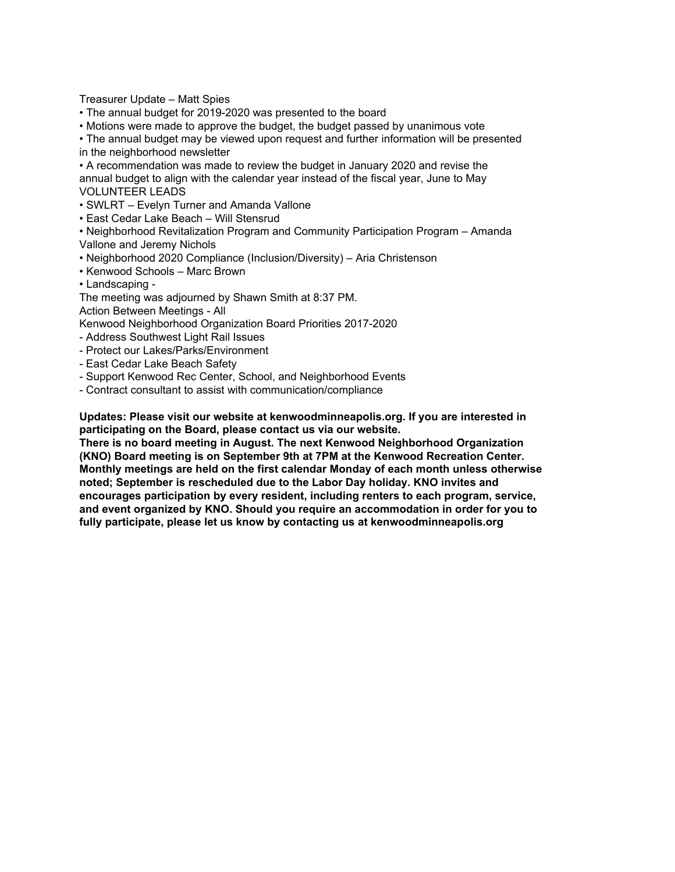Treasurer Update – Matt Spies

- The annual budget for 2019-2020 was presented to the board
- Motions were made to approve the budget, the budget passed by unanimous vote
- The annual budget may be viewed upon request and further information will be presented in the neighborhood newsletter
- A recommendation was made to review the budget in January 2020 and revise the annual budget to align with the calendar year instead of the fiscal year, June to May VOLUNTEER LEADS
- SWLRT Evelyn Turner and Amanda Vallone
- East Cedar Lake Beach Will Stensrud
- Neighborhood Revitalization Program and Community Participation Program Amanda Vallone and Jeremy Nichols
- Neighborhood 2020 Compliance (Inclusion/Diversity) Aria Christenson
- Kenwood Schools Marc Brown
- Landscaping -
- The meeting was adjourned by Shawn Smith at 8:37 PM.
- Action Between Meetings All
- Kenwood Neighborhood Organization Board Priorities 2017-2020
- Address Southwest Light Rail Issues
- Protect our Lakes/Parks/Environment
- East Cedar Lake Beach Safety
- Support Kenwood Rec Center, School, and Neighborhood Events
- Contract consultant to assist with communication/compliance

**Updates: Please visit our website at kenwoodminneapolis.org. If you are interested in participating on the Board, please contact us via our website.**

**There is no board meeting in August. The next Kenwood Neighborhood Organization (KNO) Board meeting is on September 9th at 7PM at the Kenwood Recreation Center. Monthly meetings are held on the first calendar Monday of each month unless otherwise noted; September is rescheduled due to the Labor Day holiday. KNO invites and encourages participation by every resident, including renters to each program, service, and event organized by KNO. Should you require an accommodation in order for you to fully participate, please let us know by contacting us at kenwoodminneapolis.org**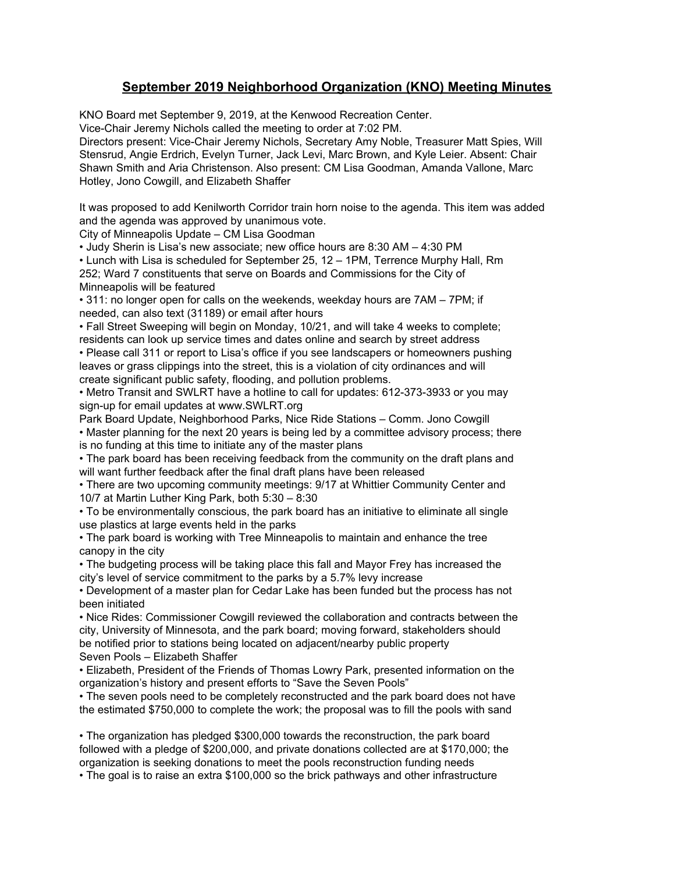# **September 2019 Neighborhood Organization (KNO) Meeting Minutes**

KNO Board met September 9, 2019, at the Kenwood Recreation Center. Vice-Chair Jeremy Nichols called the meeting to order at 7:02 PM. Directors present: Vice-Chair Jeremy Nichols, Secretary Amy Noble, Treasurer Matt Spies, Will Stensrud, Angie Erdrich, Evelyn Turner, Jack Levi, Marc Brown, and Kyle Leier. Absent: Chair Shawn Smith and Aria Christenson. Also present: CM Lisa Goodman, Amanda Vallone, Marc Hotley, Jono Cowgill, and Elizabeth Shaffer

It was proposed to add Kenilworth Corridor train horn noise to the agenda. This item was added and the agenda was approved by unanimous vote.

City of Minneapolis Update – CM Lisa Goodman

• Judy Sherin is Lisa's new associate; new office hours are 8:30 AM – 4:30 PM

• Lunch with Lisa is scheduled for September 25, 12 – 1PM, Terrence Murphy Hall, Rm 252; Ward 7 constituents that serve on Boards and Commissions for the City of Minneapolis will be featured

• 311: no longer open for calls on the weekends, weekday hours are 7AM – 7PM; if needed, can also text (31189) or email after hours

• Fall Street Sweeping will begin on Monday, 10/21, and will take 4 weeks to complete; residents can look up service times and dates online and search by street address

• Please call 311 or report to Lisa's office if you see landscapers or homeowners pushing leaves or grass clippings into the street, this is a violation of city ordinances and will create significant public safety, flooding, and pollution problems.

• Metro Transit and SWLRT have a hotline to call for updates: 612-373-3933 or you may sign-up for email updates at www.SWLRT.org

Park Board Update, Neighborhood Parks, Nice Ride Stations – Comm. Jono Cowgill • Master planning for the next 20 years is being led by a committee advisory process; there is no funding at this time to initiate any of the master plans

• The park board has been receiving feedback from the community on the draft plans and will want further feedback after the final draft plans have been released

• There are two upcoming community meetings: 9/17 at Whittier Community Center and 10/7 at Martin Luther King Park, both 5:30 – 8:30

• To be environmentally conscious, the park board has an initiative to eliminate all single use plastics at large events held in the parks

• The park board is working with Tree Minneapolis to maintain and enhance the tree canopy in the city

• The budgeting process will be taking place this fall and Mayor Frey has increased the city's level of service commitment to the parks by a 5.7% levy increase

• Development of a master plan for Cedar Lake has been funded but the process has not been initiated

• Nice Rides: Commissioner Cowgill reviewed the collaboration and contracts between the city, University of Minnesota, and the park board; moving forward, stakeholders should be notified prior to stations being located on adjacent/nearby public property Seven Pools – Elizabeth Shaffer

• Elizabeth, President of the Friends of Thomas Lowry Park, presented information on the organization's history and present efforts to "Save the Seven Pools"

• The seven pools need to be completely reconstructed and the park board does not have the estimated \$750,000 to complete the work; the proposal was to fill the pools with sand

• The organization has pledged \$300,000 towards the reconstruction, the park board followed with a pledge of \$200,000, and private donations collected are at \$170,000; the organization is seeking donations to meet the pools reconstruction funding needs

• The goal is to raise an extra \$100,000 so the brick pathways and other infrastructure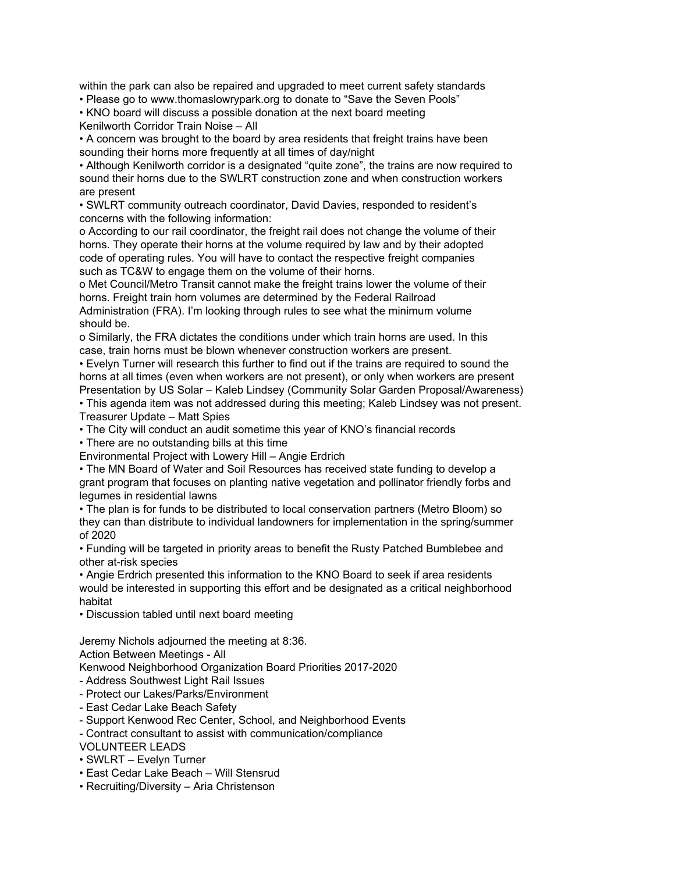within the park can also be repaired and upgraded to meet current safety standards

• Please go to www.thomaslowrypark.org to donate to "Save the Seven Pools"

• KNO board will discuss a possible donation at the next board meeting Kenilworth Corridor Train Noise – All

• A concern was brought to the board by area residents that freight trains have been sounding their horns more frequently at all times of day/night

• Although Kenilworth corridor is a designated "quite zone", the trains are now required to sound their horns due to the SWLRT construction zone and when construction workers are present

• SWLRT community outreach coordinator, David Davies, responded to resident's concerns with the following information:

o According to our rail coordinator, the freight rail does not change the volume of their horns. They operate their horns at the volume required by law and by their adopted code of operating rules. You will have to contact the respective freight companies such as TC&W to engage them on the volume of their horns.

o Met Council/Metro Transit cannot make the freight trains lower the volume of their horns. Freight train horn volumes are determined by the Federal Railroad Administration (FRA). I'm looking through rules to see what the minimum volume should be.

o Similarly, the FRA dictates the conditions under which train horns are used. In this case, train horns must be blown whenever construction workers are present.

• Evelyn Turner will research this further to find out if the trains are required to sound the horns at all times (even when workers are not present), or only when workers are present Presentation by US Solar – Kaleb Lindsey (Community Solar Garden Proposal/Awareness)

• This agenda item was not addressed during this meeting; Kaleb Lindsey was not present. Treasurer Update – Matt Spies

• The City will conduct an audit sometime this year of KNO's financial records

• There are no outstanding bills at this time

Environmental Project with Lowery Hill – Angie Erdrich

• The MN Board of Water and Soil Resources has received state funding to develop a grant program that focuses on planting native vegetation and pollinator friendly forbs and legumes in residential lawns

• The plan is for funds to be distributed to local conservation partners (Metro Bloom) so they can than distribute to individual landowners for implementation in the spring/summer of 2020

• Funding will be targeted in priority areas to benefit the Rusty Patched Bumblebee and other at-risk species

• Angie Erdrich presented this information to the KNO Board to seek if area residents would be interested in supporting this effort and be designated as a critical neighborhood habitat

• Discussion tabled until next board meeting

Jeremy Nichols adjourned the meeting at 8:36. Action Between Meetings - All

Kenwood Neighborhood Organization Board Priorities 2017-2020

- Address Southwest Light Rail Issues

- Protect our Lakes/Parks/Environment
- East Cedar Lake Beach Safety
- Support Kenwood Rec Center, School, and Neighborhood Events
- Contract consultant to assist with communication/compliance
- VOLUNTEER LEADS
- SWLRT Evelyn Turner
- East Cedar Lake Beach Will Stensrud
- Recruiting/Diversity Aria Christenson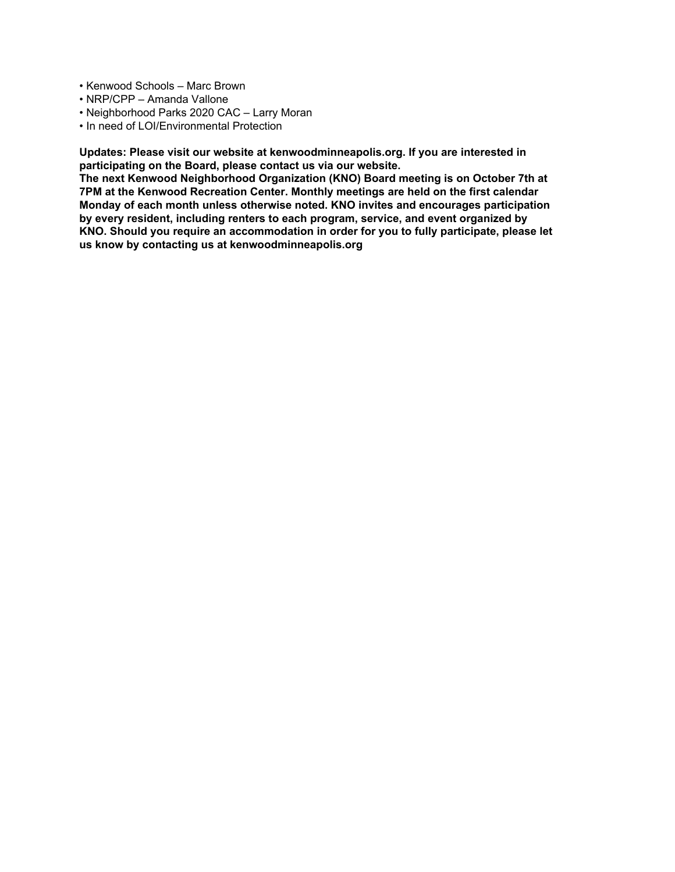- Kenwood Schools Marc Brown
- NRP/CPP Amanda Vallone
- Neighborhood Parks 2020 CAC Larry Moran
- In need of LOI/Environmental Protection

**Updates: Please visit our website at kenwoodminneapolis.org. If you are interested in participating on the Board, please contact us via our website.**

**The next Kenwood Neighborhood Organization (KNO) Board meeting is on October 7th at 7PM at the Kenwood Recreation Center. Monthly meetings are held on the first calendar Monday of each month unless otherwise noted. KNO invites and encourages participation by every resident, including renters to each program, service, and event organized by KNO. Should you require an accommodation in order for you to fully participate, please let us know by contacting us at kenwoodminneapolis.org**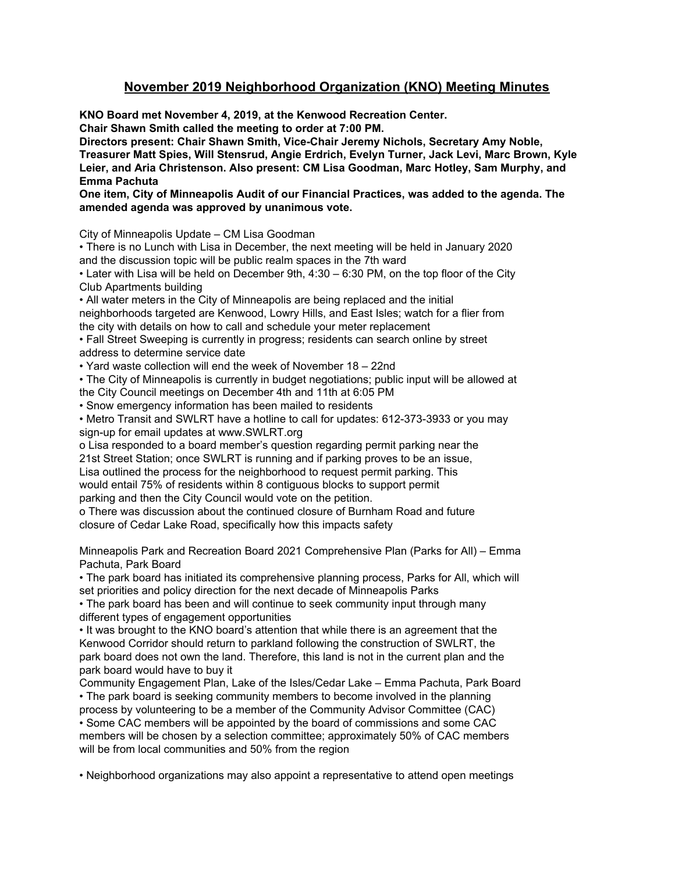# **November 2019 Neighborhood Organization (KNO) Meeting Minutes**

**KNO Board met November 4, 2019, at the Kenwood Recreation Center. Chair Shawn Smith called the meeting to order at 7:00 PM.**

**Directors present: Chair Shawn Smith, Vice-Chair Jeremy Nichols, Secretary Amy Noble, Treasurer Matt Spies, Will Stensrud, Angie Erdrich, Evelyn Turner, Jack Levi, Marc Brown, Kyle Leier, and Aria Christenson. Also present: CM Lisa Goodman, Marc Hotley, Sam Murphy, and Emma Pachuta**

**One item, City of Minneapolis Audit of our Financial Practices, was added to the agenda. The amended agenda was approved by unanimous vote.**

City of Minneapolis Update – CM Lisa Goodman

• There is no Lunch with Lisa in December, the next meeting will be held in January 2020 and the discussion topic will be public realm spaces in the 7th ward

• Later with Lisa will be held on December 9th, 4:30 – 6:30 PM, on the top floor of the City Club Apartments building

• All water meters in the City of Minneapolis are being replaced and the initial neighborhoods targeted are Kenwood, Lowry Hills, and East Isles; watch for a flier from the city with details on how to call and schedule your meter replacement

• Fall Street Sweeping is currently in progress; residents can search online by street address to determine service date

• Yard waste collection will end the week of November 18 – 22nd

• The City of Minneapolis is currently in budget negotiations; public input will be allowed at the City Council meetings on December 4th and 11th at 6:05 PM

• Snow emergency information has been mailed to residents

• Metro Transit and SWLRT have a hotline to call for updates: 612-373-3933 or you may sign-up for email updates at www.SWLRT.org

o Lisa responded to a board member's question regarding permit parking near the 21st Street Station; once SWLRT is running and if parking proves to be an issue, Lisa outlined the process for the neighborhood to request permit parking. This would entail 75% of residents within 8 contiguous blocks to support permit parking and then the City Council would vote on the petition.

o There was discussion about the continued closure of Burnham Road and future closure of Cedar Lake Road, specifically how this impacts safety

Minneapolis Park and Recreation Board 2021 Comprehensive Plan (Parks for All) – Emma Pachuta, Park Board

• The park board has initiated its comprehensive planning process, Parks for All, which will set priorities and policy direction for the next decade of Minneapolis Parks

• The park board has been and will continue to seek community input through many different types of engagement opportunities

• It was brought to the KNO board's attention that while there is an agreement that the Kenwood Corridor should return to parkland following the construction of SWLRT, the park board does not own the land. Therefore, this land is not in the current plan and the park board would have to buy it

Community Engagement Plan, Lake of the Isles/Cedar Lake – Emma Pachuta, Park Board • The park board is seeking community members to become involved in the planning

process by volunteering to be a member of the Community Advisor Committee (CAC) • Some CAC members will be appointed by the board of commissions and some CAC members will be chosen by a selection committee; approximately 50% of CAC members will be from local communities and 50% from the region

• Neighborhood organizations may also appoint a representative to attend open meetings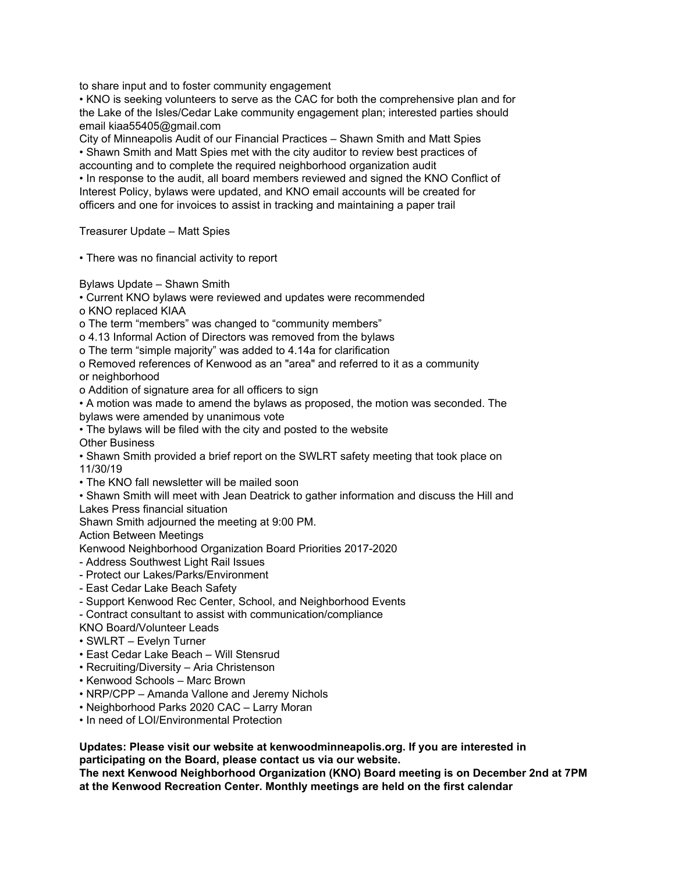to share input and to foster community engagement

• KNO is seeking volunteers to serve as the CAC for both the comprehensive plan and for the Lake of the Isles/Cedar Lake community engagement plan; interested parties should email kiaa55405@gmail.com

City of Minneapolis Audit of our Financial Practices – Shawn Smith and Matt Spies • Shawn Smith and Matt Spies met with the city auditor to review best practices of accounting and to complete the required neighborhood organization audit • In response to the audit, all board members reviewed and signed the KNO Conflict of Interest Policy, bylaws were updated, and KNO email accounts will be created for officers and one for invoices to assist in tracking and maintaining a paper trail

Treasurer Update – Matt Spies

• There was no financial activity to report

- Bylaws Update Shawn Smith
- Current KNO bylaws were reviewed and updates were recommended
- o KNO replaced KIAA
- o The term "members" was changed to "community members"

o 4.13 Informal Action of Directors was removed from the bylaws

o The term "simple majority" was added to 4.14a for clarification

o Removed references of Kenwood as an "area" and referred to it as a community or neighborhood

o Addition of signature area for all officers to sign

• A motion was made to amend the bylaws as proposed, the motion was seconded. The bylaws were amended by unanimous vote

• The bylaws will be filed with the city and posted to the website

Other Business

• Shawn Smith provided a brief report on the SWLRT safety meeting that took place on 11/30/19

- The KNO fall newsletter will be mailed soon
- Shawn Smith will meet with Jean Deatrick to gather information and discuss the Hill and Lakes Press financial situation

Shawn Smith adjourned the meeting at 9:00 PM.

Action Between Meetings

Kenwood Neighborhood Organization Board Priorities 2017-2020

- Address Southwest Light Rail Issues
- Protect our Lakes/Parks/Environment
- East Cedar Lake Beach Safety
- Support Kenwood Rec Center, School, and Neighborhood Events

- Contract consultant to assist with communication/compliance

KNO Board/Volunteer Leads

- SWLRT Evelyn Turner
- East Cedar Lake Beach Will Stensrud
- Recruiting/Diversity Aria Christenson
- Kenwood Schools Marc Brown
- NRP/CPP Amanda Vallone and Jeremy Nichols
- Neighborhood Parks 2020 CAC Larry Moran
- In need of LOI/Environmental Protection

**Updates: Please visit our website at kenwoodminneapolis.org. If you are interested in participating on the Board, please contact us via our website.**

**The next Kenwood Neighborhood Organization (KNO) Board meeting is on December 2nd at 7PM at the Kenwood Recreation Center. Monthly meetings are held on the first calendar**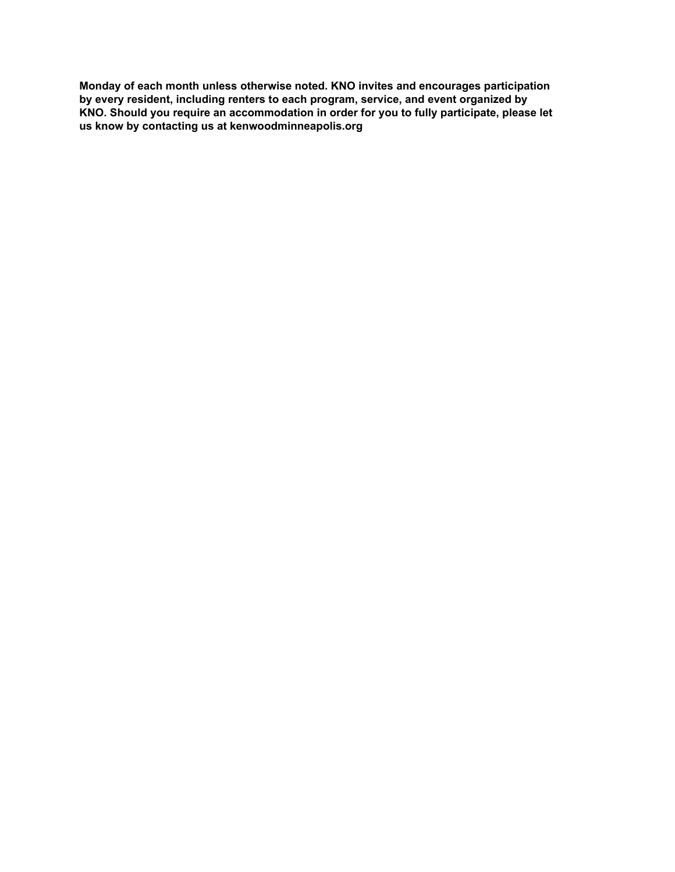**Monday of each month unless otherwise noted. KNO invites and encourages participation by every resident, including renters to each program, service, and event organized by KNO. Should you require an accommodation in order for you to fully participate, please let us know by contacting us at kenwoodminneapolis.org**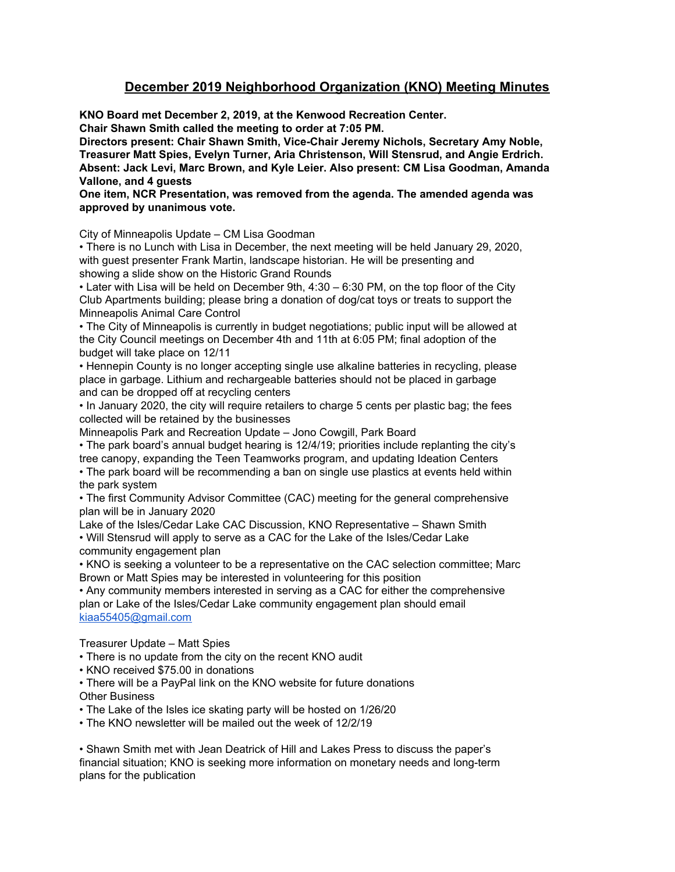# **December 2019 Neighborhood Organization (KNO) Meeting Minutes**

**KNO Board met December 2, 2019, at the Kenwood Recreation Center. Chair Shawn Smith called the meeting to order at 7:05 PM.**

**Directors present: Chair Shawn Smith, Vice-Chair Jeremy Nichols, Secretary Amy Noble, Treasurer Matt Spies, Evelyn Turner, Aria Christenson, Will Stensrud, and Angie Erdrich. Absent: Jack Levi, Marc Brown, and Kyle Leier. Also present: CM Lisa Goodman, Amanda Vallone, and 4 guests**

### **One item, NCR Presentation, was removed from the agenda. The amended agenda was approved by unanimous vote.**

City of Minneapolis Update – CM Lisa Goodman

• There is no Lunch with Lisa in December, the next meeting will be held January 29, 2020, with guest presenter Frank Martin, landscape historian. He will be presenting and showing a slide show on the Historic Grand Rounds

• Later with Lisa will be held on December 9th, 4:30 – 6:30 PM, on the top floor of the City Club Apartments building; please bring a donation of dog/cat toys or treats to support the Minneapolis Animal Care Control

• The City of Minneapolis is currently in budget negotiations; public input will be allowed at the City Council meetings on December 4th and 11th at 6:05 PM; final adoption of the budget will take place on 12/11

• Hennepin County is no longer accepting single use alkaline batteries in recycling, please place in garbage. Lithium and rechargeable batteries should not be placed in garbage and can be dropped off at recycling centers

• In January 2020, the city will require retailers to charge 5 cents per plastic bag; the fees collected will be retained by the businesses

Minneapolis Park and Recreation Update – Jono Cowgill, Park Board

• The park board's annual budget hearing is 12/4/19; priorities include replanting the city's tree canopy, expanding the Teen Teamworks program, and updating Ideation Centers • The park board will be recommending a ban on single use plastics at events held within the park system

• The first Community Advisor Committee (CAC) meeting for the general comprehensive plan will be in January 2020

Lake of the Isles/Cedar Lake CAC Discussion, KNO Representative – Shawn Smith

• Will Stensrud will apply to serve as a CAC for the Lake of the Isles/Cedar Lake community engagement plan

• KNO is seeking a volunteer to be a representative on the CAC selection committee; Marc Brown or Matt Spies may be interested in volunteering for this position

• Any community members interested in serving as a CAC for either the comprehensive plan or Lake of the Isles/Cedar Lake community engagement plan should email [kiaa55405@gmail.com](mailto:kiaa55405@gmail.com)

Treasurer Update – Matt Spies

- There is no update from the city on the recent KNO audit
- KNO received \$75.00 in donations

• There will be a PayPal link on the KNO website for future donations Other Business

• The Lake of the Isles ice skating party will be hosted on 1/26/20

• The KNO newsletter will be mailed out the week of 12/2/19

• Shawn Smith met with Jean Deatrick of Hill and Lakes Press to discuss the paper's financial situation; KNO is seeking more information on monetary needs and long-term plans for the publication